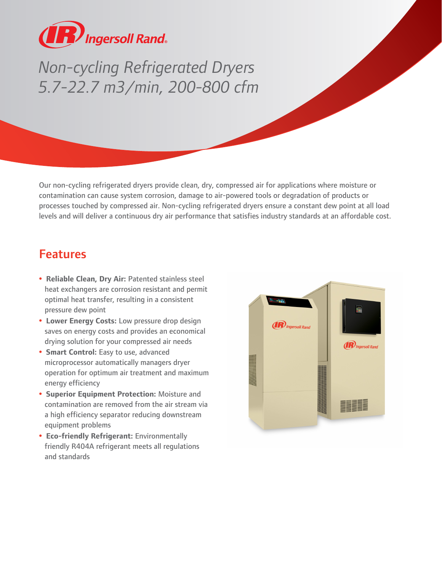

## *Non-cycling Refrigerated Dryers 5.7-22.7 m3/min, 200-800 cfm*

Our non-cycling refrigerated dryers provide clean, dry, compressed air for applications where moisture or contamination can cause system corrosion, damage to air-powered tools or degradation of products or processes touched by compressed air. Non-cycling refrigerated dryers ensure a constant dew point at all load levels and will deliver a continuous dry air performance that satisfies industry standards at an affordable cost.

## Features

- **Reliable Clean, Dry Air:** Patented stainless steel heat exchangers are corrosion resistant and permit optimal heat transfer, resulting in a consistent pressure dew point
- **Lower Energy Costs:** Low pressure drop design saves on energy costs and provides an economical drying solution for your compressed air needs
- **Smart Control:** Easy to use, advanced microprocessor automatically managers dryer operation for optimum air treatment and maximum energy efficiency
- **Superior Equipment Protection:** Moisture and contamination are removed from the air stream via a high efficiency separator reducing downstream equipment problems
- **Eco-friendly Refrigerant:** Environmentally friendly R404A refrigerant meets all regulations and standards